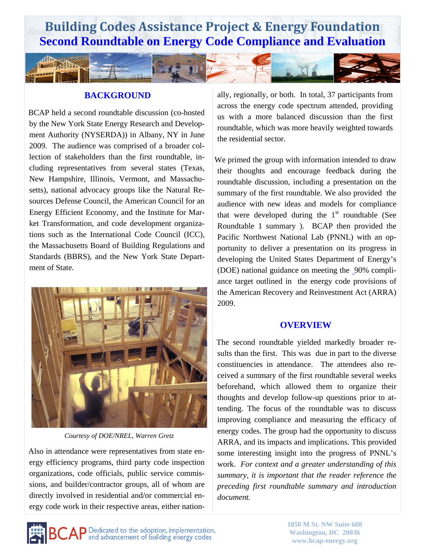

#### **BACKGROUND**

 BCAP held a second roundtable discussion (co-hosted by the New York State Energy Research and Development Authority (NYSERDA)) in Albany, NY in June 2009. The audience was comprised of a broader collection of stakeholders than the first roundtable, including representatives from several states (Texas, New Hampshire, Illinois, Vermont, and Massachusetts), national advocacy groups like the Natural Resources Defense Council, the American Council for an Energy Efficient Economy, and the Institute for Market Transformation, and code development organizations such as the International Code Council (ICC), the Massachusetts Board of Building Regulations and Standards (BBRS), and the New York State Department of State.



*Courtesy of DOE/NREL, Warren Gretz* 

 Also in attendance were representatives from state energy efficiency programs, third party code inspection organizations, code officials, public service commissions, and builder/contractor groups, all of whom are directly involved in residential and/or commercial energy code work in their respective areas, either nationally, regionally, or both. In total, 37 participants from across the energy code spectrum attended, providing us with a more balanced discussion than the first roundtable, which was more heavily weighted towards the residential sector.

We primed the group with information intended to draw their thoughts and encourage feedback during the roundtable discussion, including a presentation on the summary of the first roundtable. We also provided the audience with new ideas and models for compliance that were developed during the  $1<sup>st</sup>$  roundtable (See Roundtable 1 summary ). BCAP then provided the Pacific Northwest National Lab (PNNL) with an opportunity to deliver a presentation on its progress in developing the United States Department of Energy's (DOE) national guidance on meeting the 90% compliance target outlined in the energy code provisions of the American Recovery and Reinvestment Act (ARRA) 2009.

#### **OVERVIEW**

 The second roundtable yielded markedly broader results than the first. This was due in part to the diverse constituencies in attendance. The attendees also received a summary of the first roundtable several weeks beforehand, which allowed them to organize their thoughts and develop follow-up questions prior to attending. The focus of the roundtable was to discuss improving compliance and measuring the efficacy of energy codes. The group had the opportunity to discuss ARRA, and its impacts and implications. This provided some interesting insight into the progress of PNNL's work. *For context and a greater understanding of this summary, it is important that the reader reference the preceding first roundtable summary and introduction document.* 

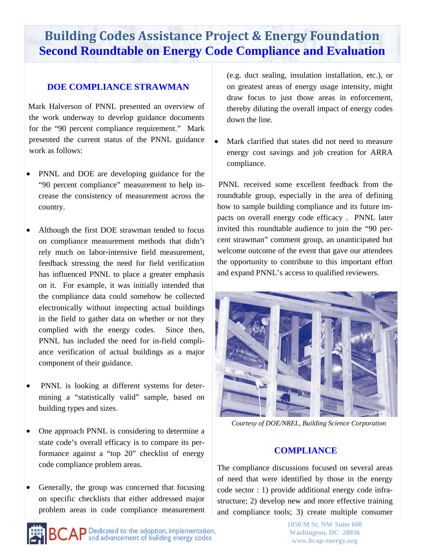#### **DOE COMPLIANCE STRAWMAN**

 Mark Halverson of PNNL presented an overview of the work underway to develop guidance documents for the "90 percent compliance requirement." Mark presented the current status of the PNNL guidance work as follows:

- PNNL and DOE are developing guidance for the "90 percent compliance" measurement to help increase the consistency of measurement across the country.
- Although the first DOE strawman tended to focus on compliance measurement methods that didn't rely much on labor-intensive field measurement, feedback stressing the need for field verification has influenced PNNL to place a greater emphasis on it. For example, it was initially intended that the compliance data could somehow be collected electronically without inspecting actual buildings in the field to gather data on whether or not they complied with the energy codes. Since then, PNNL has included the need for in-field compliance verification of actual buildings as a major component of their guidance.
- PNNL is looking at different systems for determining a "statistically valid" sample, based on building types and sizes.
- One approach PNNL is considering to determine a state code's overall efficacy is to compare its performance against a "top 20" checklist of energy code compliance problem areas.
- Generally, the group was concerned that focusing on specific checklists that either addressed major problem areas in code compliance measurement

(e.g. duct sealing, insulation installation, etc.), or on greatest areas of energy usage intensity, might draw focus to just those areas in enforcement, thereby diluting the overall impact of energy codes down the line.

 Mark clarified that states did not need to measure energy cost savings and job creation for ARRA compliance.

 PNNL received some excellent feedback from the roundtable group, especially in the area of defining how to sample building compliance and its future impacts on overall energy code efficacy . PNNL later invited this roundtable audience to join the "90 percent strawman" comment group, an unanticipated but welcome outcome of the event that gave our attendees the opportunity to contribute to this important effort and expand PNNL's access to qualified reviewers.



*Courtesy of DOE/NREL, Building Science Corporation* 

#### **COMPLIANCE**

The compliance discussions focused on several areas of need that were identified by those in the energy code sector : 1) provide additional energy code infrastructure; 2) develop new and more effective training and compliance tools; 3) create multiple consumer

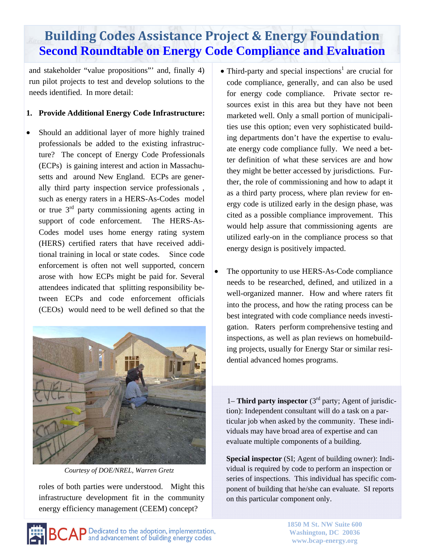and stakeholder "value propositions"' and, finally 4) run pilot projects to test and develop solutions to the needs identified. In more detail:

#### **1. Provide Additional Energy Code Infrastructure:**

 Should an additional layer of more highly trained professionals be added to the existing infrastructure? The concept of Energy Code Professionals (ECPs) is gaining interest and action in Massachusetts and around New England. ECPs are generally third party inspection service professionals , such as energy raters in a HERS-As-Codes model or true  $3<sup>rd</sup>$  party commissioning agents acting in support of code enforcement. The HERS-As-Codes model uses home energy rating system (HERS) certified raters that have received additional training in local or state codes. Since code enforcement is often not well supported, concern arose with how ECPs might be paid for. Several attendees indicated that splitting responsibility between ECPs and code enforcement officials (CEOs) would need to be well defined so that the



*Courtesy of DOE/NREL, Warren Gretz* 

roles of both parties were understood. Might this infrastructure development fit in the community energy efficiency management (CEEM) concept?

- Third-party and special inspections<sup>1</sup> are crucial for code compliance, generally, and can also be used for energy code compliance. Private sector resources exist in this area but they have not been marketed well. Only a small portion of municipalities use this option; even very sophisticated building departments don't have the expertise to evaluate energy code compliance fully. We need a better definition of what these services are and how they might be better accessed by jurisdictions. Further, the role of commissioning and how to adapt it as a third party process, where plan review for energy code is utilized early in the design phase, was cited as a possible compliance improvement. This would help assure that commissioning agents are utilized early-on in the compliance process so that energy design is positively impacted.
- The opportunity to use HERS-As-Code compliance needs to be researched, defined, and utilized in a well-organized manner. How and where raters fit into the process, and how the rating process can be best integrated with code compliance needs investigation. Raters perform comprehensive testing and inspections, as well as plan reviews on homebuilding projects, usually for Energy Star or similar residential advanced homes programs.

1– **Third party inspector** (3rd party; Agent of jurisdiction): Independent consultant will do a task on a particular job when asked by the community. These individuals may have broad area of expertise and can evaluate multiple components of a building.

**Special inspector** (SI; Agent of building owner): Individual is required by code to perform an inspection or series of inspections. This individual has specific component of building that he/she can evaluate. SI reports on this particular component only.

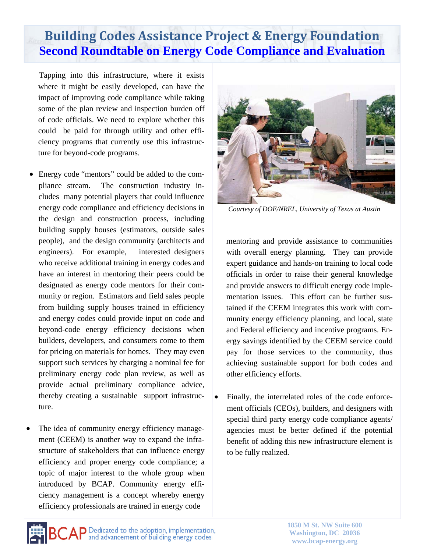Tapping into this infrastructure, where it exists where it might be easily developed, can have the impact of improving code compliance while taking some of the plan review and inspection burden off of code officials. We need to explore whether this could be paid for through utility and other efficiency programs that currently use this infrastructure for beyond-code programs.

- Energy code "mentors" could be added to the compliance stream. The construction industry includes many potential players that could influence energy code compliance and efficiency decisions in the design and construction process, including building supply houses (estimators, outside sales people), and the design community (architects and engineers). For example, interested designers who receive additional training in energy codes and have an interest in mentoring their peers could be designated as energy code mentors for their community or region. Estimators and field sales people from building supply houses trained in efficiency and energy codes could provide input on code and beyond-code energy efficiency decisions when builders, developers, and consumers come to them for pricing on materials for homes. They may even support such services by charging a nominal fee for preliminary energy code plan review, as well as provide actual preliminary compliance advice, thereby creating a sustainable support infrastructure.
- The idea of community energy efficiency management (CEEM) is another way to expand the infrastructure of stakeholders that can influence energy efficiency and proper energy code compliance; a topic of major interest to the whole group when introduced by BCAP. Community energy efficiency management is a concept whereby energy efficiency professionals are trained in energy code



*Courtesy of DOE/NREL, University of Texas at Austin* 

mentoring and provide assistance to communities with overall energy planning. They can provide expert guidance and hands-on training to local code officials in order to raise their general knowledge and provide answers to difficult energy code implementation issues. This effort can be further sustained if the CEEM integrates this work with community energy efficiency planning, and local, state and Federal efficiency and incentive programs. Energy savings identified by the CEEM service could pay for those services to the community, thus achieving sustainable support for both codes and other efficiency efforts.

 Finally, the interrelated roles of the code enforcement officials (CEOs), builders, and designers with special third party energy code compliance agents/ agencies must be better defined if the potential benefit of adding this new infrastructure element is to be fully realized.

**BCAP** Dedicated to the adoption, implementation,

**1850 M St. NW Suite 600 Washington, DC 20036 www.bcap-energy.org**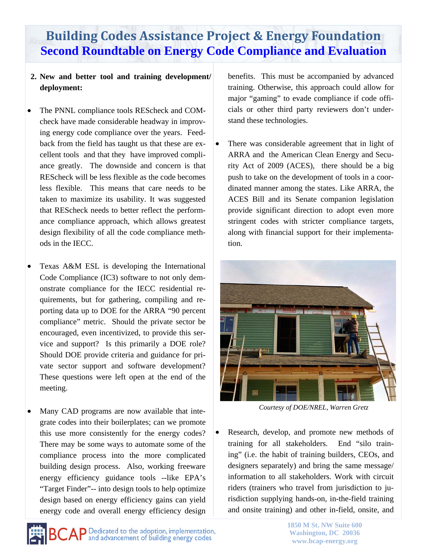#### **2. New and better tool and training development/ deployment:**

- The PNNL compliance tools REScheck and COMcheck have made considerable headway in improving energy code compliance over the years. Feedback from the field has taught us that these are excellent tools and that they have improved compliance greatly. The downside and concern is that REScheck will be less flexible as the code becomes less flexible. This means that care needs to be taken to maximize its usability. It was suggested that REScheck needs to better reflect the performance compliance approach, which allows greatest design flexibility of all the code compliance methods in the IECC.
- Texas A&M ESL is developing the International Code Compliance (IC3) software to not only demonstrate compliance for the IECC residential requirements, but for gathering, compiling and reporting data up to DOE for the ARRA "90 percent compliance" metric. Should the private sector be encouraged, even incentivized, to provide this service and support? Is this primarily a DOE role? Should DOE provide criteria and guidance for private sector support and software development? These questions were left open at the end of the meeting.
- Many CAD programs are now available that integrate codes into their boilerplates; can we promote this use more consistently for the energy codes? There may be some ways to automate some of the compliance process into the more complicated building design process. Also, working freeware energy efficiency guidance tools --like EPA's "Target Finder"-- into design tools to help optimize design based on energy efficiency gains can yield energy code and overall energy efficiency design

benefits. This must be accompanied by advanced training. Otherwise, this approach could allow for major "gaming" to evade compliance if code officials or other third party reviewers don't understand these technologies.

• There was considerable agreement that in light of ARRA and the American Clean Energy and Security Act of 2009 (ACES), there should be a big push to take on the development of tools in a coordinated manner among the states. Like ARRA, the ACES Bill and its Senate companion legislation provide significant direction to adopt even more stringent codes with stricter compliance targets, along with financial support for their implementation.



*Courtesy of DOE/NREL, Warren Gretz* 

• Research, develop, and promote new methods of training for all stakeholders. End "silo training" (i.e. the habit of training builders, CEOs, and designers separately) and bring the same message/ information to all stakeholders. Work with circuit riders (trainers who travel from jurisdiction to jurisdiction supplying hands-on, in-the-field training and onsite training) and other in-field, onsite, and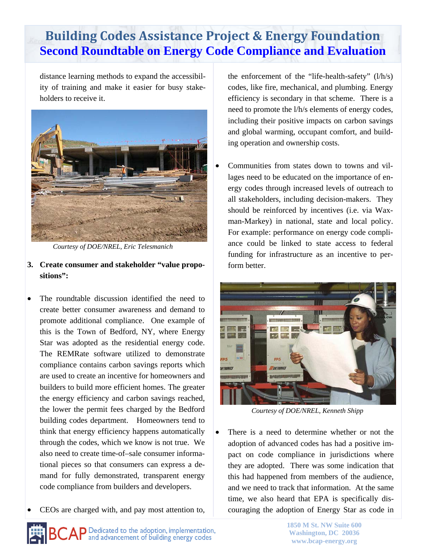distance learning methods to expand the accessibility of training and make it easier for busy stakeholders to receive it.



*Courtesy of DOE/NREL, Eric Telesmanich* 

- **3. Create consumer and stakeholder "value propositions":**
- The roundtable discussion identified the need to create better consumer awareness and demand to promote additional compliance. One example of this is the Town of Bedford, NY, where Energy Star was adopted as the residential energy code. The REMRate software utilized to demonstrate compliance contains carbon savings reports which are used to create an incentive for homeowners and builders to build more efficient homes. The greater the energy efficiency and carbon savings reached, the lower the permit fees charged by the Bedford building codes department. Homeowners tend to think that energy efficiency happens automatically through the codes, which we know is not true. We also need to create time-of–sale consumer informational pieces so that consumers can express a demand for fully demonstrated, transparent energy code compliance from builders and developers.
- CEOs are charged with, and pay most attention to,

the enforcement of the "life-health-safety" (l/h/s) codes, like fire, mechanical, and plumbing. Energy efficiency is secondary in that scheme. There is a need to promote the l/h/s elements of energy codes, including their positive impacts on carbon savings and global warming, occupant comfort, and building operation and ownership costs.

 Communities from states down to towns and villages need to be educated on the importance of energy codes through increased levels of outreach to all stakeholders, including decision-makers. They should be reinforced by incentives (i.e. via Waxman-Markey) in national, state and local policy. For example: performance on energy code compliance could be linked to state access to federal funding for infrastructure as an incentive to perform better.



*Courtesy of DOE/NREL, Kenneth Shipp* 

 There is a need to determine whether or not the adoption of advanced codes has had a positive impact on code compliance in jurisdictions where they are adopted. There was some indication that this had happened from members of the audience, and we need to track that information. At the same time, we also heard that EPA is specifically discouraging the adoption of Energy Star as code in

 $\mathsf{C}\mathsf{AP}$  Dedicated to the adoption, implementation,  $\mathsf{AP}$  and advancement of building energy codes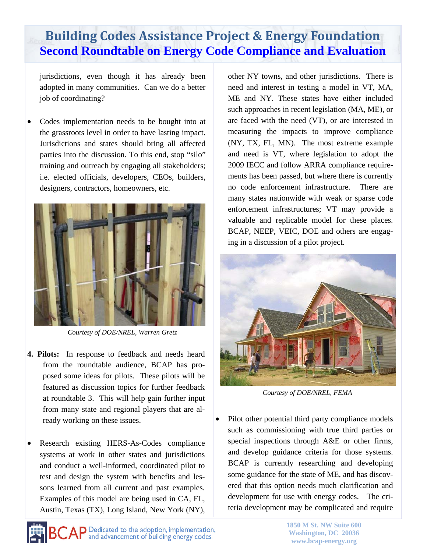jurisdictions, even though it has already been adopted in many communities. Can we do a better job of coordinating?

 Codes implementation needs to be bought into at the grassroots level in order to have lasting impact. Jurisdictions and states should bring all affected parties into the discussion. To this end, stop "silo" training and outreach by engaging all stakeholders; i.e. elected officials, developers, CEOs, builders, designers, contractors, homeowners, etc.



*Courtesy of DOE/NREL, Warren Gretz* 

- **4. Pilots:** In response to feedback and needs heard from the roundtable audience, BCAP has proposed some ideas for pilots. These pilots will be featured as discussion topics for further feedback at roundtable 3. This will help gain further input from many state and regional players that are already working on these issues.
- Research existing HERS-As-Codes compliance systems at work in other states and jurisdictions and conduct a well-informed, coordinated pilot to test and design the system with benefits and lessons learned from all current and past examples. Examples of this model are being used in CA, FL, Austin, Texas (TX), Long Island, New York (NY),

**CAP** Dedicated to the adoption, implementation,<br>and advancement of building energy codes

other NY towns, and other jurisdictions. There is need and interest in testing a model in VT, MA, ME and NY. These states have either included such approaches in recent legislation (MA, ME), or are faced with the need (VT), or are interested in measuring the impacts to improve compliance (NY, TX, FL, MN). The most extreme example and need is VT, where legislation to adopt the 2009 IECC and follow ARRA compliance requirements has been passed, but where there is currently no code enforcement infrastructure. There are many states nationwide with weak or sparse code enforcement infrastructures; VT may provide a valuable and replicable model for these places. BCAP, NEEP, VEIC, DOE and others are engaging in a discussion of a pilot project.



*Courtesy of DOE/NREL, FEMA* 

 Pilot other potential third party compliance models such as commissioning with true third parties or special inspections through A&E or other firms, and develop guidance criteria for those systems. BCAP is currently researching and developing some guidance for the state of ME, and has discovered that this option needs much clarification and development for use with energy codes. The criteria development may be complicated and require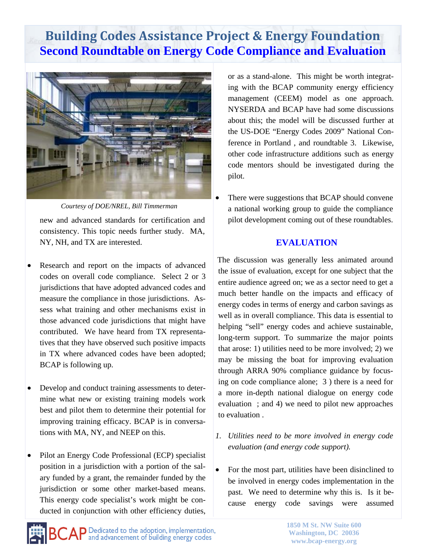

new and advanced standards for certification and consistency. This topic needs further study. MA, NY, NH, and TX are interested. *Courtesy of DOE/NREL, Bill Timmerman* 

- Research and report on the impacts of advanced codes on overall code compliance. Select 2 or 3 jurisdictions that have adopted advanced codes and measure the compliance in those jurisdictions. Assess what training and other mechanisms exist in those advanced code jurisdictions that might have contributed. We have heard from TX representatives that they have observed such positive impacts in TX where advanced codes have been adopted; BCAP is following up.
- Develop and conduct training assessments to determine what new or existing training models work best and pilot them to determine their potential for improving training efficacy. BCAP is in conversations with MA, NY, and NEEP on this.
- Pilot an Energy Code Professional (ECP) specialist position in a jurisdiction with a portion of the salary funded by a grant, the remainder funded by the jurisdiction or some other market-based means. This energy code specialist's work might be conducted in conjunction with other efficiency duties,

or as a stand-alone. This might be worth integrating with the BCAP community energy efficiency management (CEEM) model as one approach. NYSERDA and BCAP have had some discussions about this; the model will be discussed further at the US-DOE "Energy Codes 2009" National Conference in Portland , and roundtable 3. Likewise, other code infrastructure additions such as energy code mentors should be investigated during the pilot.

 There were suggestions that BCAP should convene a national working group to guide the compliance pilot development coming out of these roundtables.

#### **EVALUATION**

 The discussion was generally less animated around the issue of evaluation, except for one subject that the entire audience agreed on; we as a sector need to get a much better handle on the impacts and efficacy of energy codes in terms of energy and carbon savings as well as in overall compliance. This data is essential to helping "sell" energy codes and achieve sustainable, long-term support. To summarize the major points that arose: 1) utilities need to be more involved; 2) we may be missing the boat for improving evaluation through ARRA 90% compliance guidance by focusing on code compliance alone; 3 ) there is a need for a more in-depth national dialogue on energy code evaluation ; and 4) we need to pilot new approaches to evaluation .

- *1. Utilities need to be more involved in energy code evaluation (and energy code support).*
- For the most part, utilities have been disinclined to be involved in energy codes implementation in the past. We need to determine why this is. Is it because energy code savings were assumed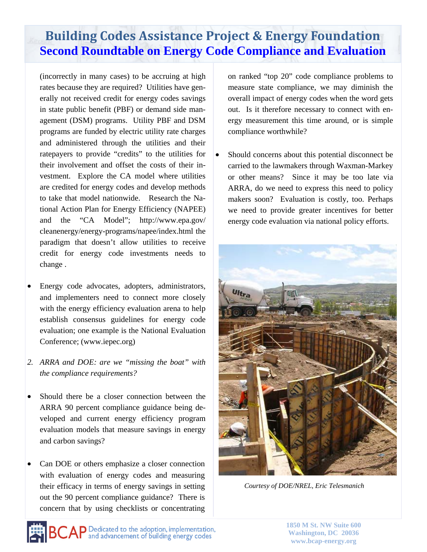(incorrectly in many cases) to be accruing at high rates because they are required? Utilities have generally not received credit for energy codes savings in state public benefit (PBF) or demand side management (DSM) programs. Utility PBF and DSM programs are funded by electric utility rate charges and administered through the utilities and their ratepayers to provide "credits" to the utilities for their involvement and offset the costs of their investment. Explore the CA model where utilities are credited for energy codes and develop methods to take that model nationwide. Research the National Action Plan for Energy Efficiency (NAPEE) and the "CA Model"; http://www.epa.gov/ cleanenergy/energy-programs/napee/index.html the paradigm that doesn't allow utilities to receive credit for energy code investments needs to change .

- Energy code advocates, adopters, administrators, and implementers need to connect more closely with the energy efficiency evaluation arena to help establish consensus guidelines for energy code evaluation; one example is the National Evaluation Conference; (www.iepec.org)
- *2. ARRA and DOE: are we "missing the boat" with the compliance requirements?*
- Should there be a closer connection between the ARRA 90 percent compliance guidance being developed and current energy efficiency program evaluation models that measure savings in energy and carbon savings?
- Can DOE or others emphasize a closer connection with evaluation of energy codes and measuring their efficacy in terms of energy savings in setting out the 90 percent compliance guidance? There is concern that by using checklists or concentrating

on ranked "top 20" code compliance problems to measure state compliance, we may diminish the overall impact of energy codes when the word gets out. Is it therefore necessary to connect with energy measurement this time around, or is simple compliance worthwhile?

• Should concerns about this potential disconnect be carried to the lawmakers through Waxman-Markey or other means? Since it may be too late via ARRA, do we need to express this need to policy makers soon? Evaluation is costly, too. Perhaps we need to provide greater incentives for better energy code evaluation via national policy efforts.



*Courtesy of DOE/NREL, Eric Telesmanich* 

**1850 M St. NW Suite 600 Washington, DC 20036 www.bcap-energy.org**